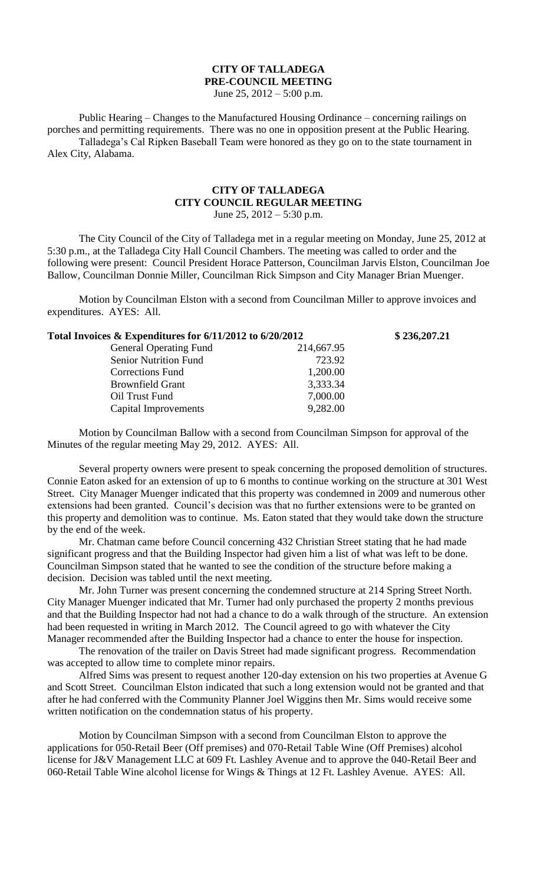## **CITY OF TALLADEGA PRE-COUNCIL MEETING**

June 25, 2012 – 5:00 p.m.

Public Hearing – Changes to the Manufactured Housing Ordinance – concerning railings on porches and permitting requirements. There was no one in opposition present at the Public Hearing. Talladega's Cal Ripken Baseball Team were honored as they go on to the state tournament in Alex City, Alabama.

## **CITY OF TALLADEGA CITY COUNCIL REGULAR MEETING** June 25,  $2012 - 5:30$  p.m.

The City Council of the City of Talladega met in a regular meeting on Monday, June 25, 2012 at 5:30 p.m., at the Talladega City Hall Council Chambers. The meeting was called to order and the following were present: Council President Horace Patterson, Councilman Jarvis Elston, Councilman Joe Ballow, Councilman Donnie Miller, Councilman Rick Simpson and City Manager Brian Muenger.

Motion by Councilman Elston with a second from Councilman Miller to approve invoices and expenditures. AYES: All.

| Total Invoices & Expenditures for 6/11/2012 to 6/20/2012 |            | \$236,207.21 |
|----------------------------------------------------------|------------|--------------|
| <b>General Operating Fund</b>                            | 214,667.95 |              |
| <b>Senior Nutrition Fund</b>                             | 723.92     |              |
| <b>Corrections Fund</b>                                  | 1,200.00   |              |
| <b>Brownfield Grant</b>                                  | 3,333.34   |              |
| Oil Trust Fund                                           | 7,000.00   |              |
| Capital Improvements                                     | 9,282.00   |              |

Motion by Councilman Ballow with a second from Councilman Simpson for approval of the Minutes of the regular meeting May 29, 2012. AYES: All.

Several property owners were present to speak concerning the proposed demolition of structures. Connie Eaton asked for an extension of up to 6 months to continue working on the structure at 301 West Street. City Manager Muenger indicated that this property was condemned in 2009 and numerous other extensions had been granted. Council's decision was that no further extensions were to be granted on this property and demolition was to continue. Ms. Eaton stated that they would take down the structure by the end of the week.

Mr. Chatman came before Council concerning 432 Christian Street stating that he had made significant progress and that the Building Inspector had given him a list of what was left to be done. Councilman Simpson stated that he wanted to see the condition of the structure before making a decision. Decision was tabled until the next meeting.

Mr. John Turner was present concerning the condemned structure at 214 Spring Street North. City Manager Muenger indicated that Mr. Turner had only purchased the property 2 months previous and that the Building Inspector had not had a chance to do a walk through of the structure. An extension had been requested in writing in March 2012. The Council agreed to go with whatever the City Manager recommended after the Building Inspector had a chance to enter the house for inspection.

The renovation of the trailer on Davis Street had made significant progress. Recommendation was accepted to allow time to complete minor repairs.

Alfred Sims was present to request another 120-day extension on his two properties at Avenue G and Scott Street. Councilman Elston indicated that such a long extension would not be granted and that after he had conferred with the Community Planner Joel Wiggins then Mr. Sims would receive some written notification on the condemnation status of his property.

Motion by Councilman Simpson with a second from Councilman Elston to approve the applications for 050-Retail Beer (Off premises) and 070-Retail Table Wine (Off Premises) alcohol license for J&V Management LLC at 609 Ft. Lashley Avenue and to approve the 040-Retail Beer and 060-Retail Table Wine alcohol license for Wings & Things at 12 Ft. Lashley Avenue. AYES: All.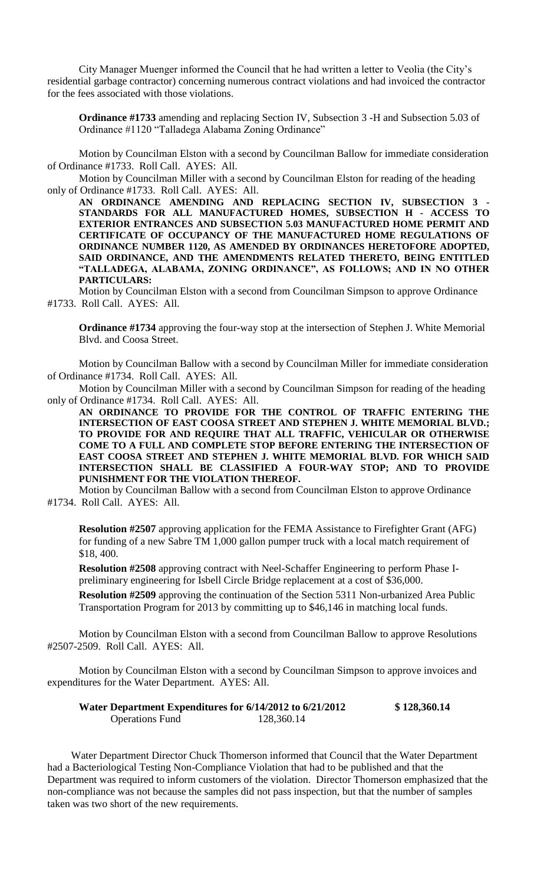City Manager Muenger informed the Council that he had written a letter to Veolia (the City's residential garbage contractor) concerning numerous contract violations and had invoiced the contractor for the fees associated with those violations.

**Ordinance #1733** amending and replacing Section IV, Subsection 3 -H and Subsection 5.03 of Ordinance #1120 "Talladega Alabama Zoning Ordinance"

Motion by Councilman Elston with a second by Councilman Ballow for immediate consideration of Ordinance #1733. Roll Call. AYES: All.

Motion by Councilman Miller with a second by Councilman Elston for reading of the heading only of Ordinance #1733. Roll Call. AYES: All.

AN ORDINANCE AMENDING AND REPLACING SECTION IV, SUBSECTION 3 **STANDARDS FOR ALL MANUFACTURED HOMES, SUBSECTION H - ACCESS TO EXTERIOR ENTRANCES AND SUBSECTION 5.03 MANUFACTURED HOME PERMIT AND CERTIFICATE OF OCCUPANCY OF THE MANUFACTURED HOME REGULATIONS OF ORDINANCE NUMBER 1120, AS AMENDED BY ORDINANCES HERETOFORE ADOPTED, SAID ORDINANCE, AND THE AMENDMENTS RELATED THERETO, BEING ENTITLED "TALLADEGA, ALABAMA, ZONING ORDINANCE", AS FOLLOWS; AND IN NO OTHER PARTICULARS:**

Motion by Councilman Elston with a second from Councilman Simpson to approve Ordinance #1733. Roll Call. AYES: All.

**Ordinance #1734** approving the four-way stop at the intersection of Stephen J. White Memorial Blvd. and Coosa Street.

Motion by Councilman Ballow with a second by Councilman Miller for immediate consideration of Ordinance #1734. Roll Call. AYES: All.

Motion by Councilman Miller with a second by Councilman Simpson for reading of the heading only of Ordinance #1734. Roll Call. AYES: All.

**AN ORDINANCE TO PROVIDE FOR THE CONTROL OF TRAFFIC ENTERING THE INTERSECTION OF EAST COOSA STREET AND STEPHEN J. WHITE MEMORIAL BLVD.; TO PROVIDE FOR AND REQUIRE THAT ALL TRAFFIC, VEHICULAR OR OTHERWISE COME TO A FULL AND COMPLETE STOP BEFORE ENTERING THE INTERSECTION OF EAST COOSA STREET AND STEPHEN J. WHITE MEMORIAL BLVD. FOR WHICH SAID INTERSECTION SHALL BE CLASSIFIED A FOUR-WAY STOP; AND TO PROVIDE PUNISHMENT FOR THE VIOLATION THEREOF.**

Motion by Councilman Ballow with a second from Councilman Elston to approve Ordinance #1734. Roll Call. AYES: All.

**Resolution #2507** approving application for the FEMA Assistance to Firefighter Grant (AFG) for funding of a new Sabre TM 1,000 gallon pumper truck with a local match requirement of \$18, 400.

**Resolution #2508** approving contract with Neel-Schaffer Engineering to perform Phase Ipreliminary engineering for Isbell Circle Bridge replacement at a cost of \$36,000.

**Resolution #2509** approving the continuation of the Section 5311 Non-urbanized Area Public Transportation Program for 2013 by committing up to \$46,146 in matching local funds.

Motion by Councilman Elston with a second from Councilman Ballow to approve Resolutions #2507-2509. Roll Call. AYES: All.

Motion by Councilman Elston with a second by Councilman Simpson to approve invoices and expenditures for the Water Department. AYES: All.

| Water Department Expenditures for 6/14/2012 to 6/21/2012 |            | \$128,360.14 |
|----------------------------------------------------------|------------|--------------|
| <b>Operations Fund</b>                                   | 128,360.14 |              |

Water Department Director Chuck Thomerson informed that Council that the Water Department had a Bacteriological Testing Non-Compliance Violation that had to be published and that the Department was required to inform customers of the violation. Director Thomerson emphasized that the non-compliance was not because the samples did not pass inspection, but that the number of samples taken was two short of the new requirements.